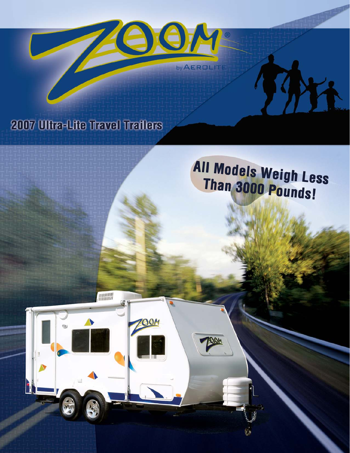

## 2007 Ultra-Lite Travel Trailers

**MANAGEMENT** 

 $90M$ 

# All Models Weigh Less Than 3000 Pounds!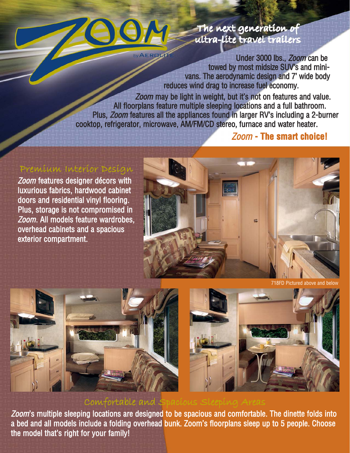

## The next generation of ultra-lite travel trailers

Under 3000 lbs., Zoom can be towed by most midsize SUV's and minivans. The aerodynamic design and 7' wide body reduces wind drag to increase fuel economy.

Zoom may be light in weight, but it's not on features and value. All floorplans feature multiple sleeping locations and a full bathroom. Plus, Zoom features all the appliances found in larger RV's including a 2-burner cooktop, refrigerator, microwave, AM/FM/CD stereo, furnace and water heater.

## Zoom **- The smart choice!**

## Premium Interior Design

Zoom features designer décors with luxurious fabrics, hardwood cabinet doors and residential vinyl flooring. Plus, storage is not compromised in Zoom. All models feature wardrobes, overhead cabinets and a spacious exterior compartment.



718FD Pictured above and below



## Comfortable and Spacious Sleeping Areas

Zoom's multiple sleeping locations are designed to be spacious and comfortable. The dinette folds into a bed and all models include a folding overhead bunk. Zoom's floorplans sleep up to 5 people. Choose the model that's right for your family!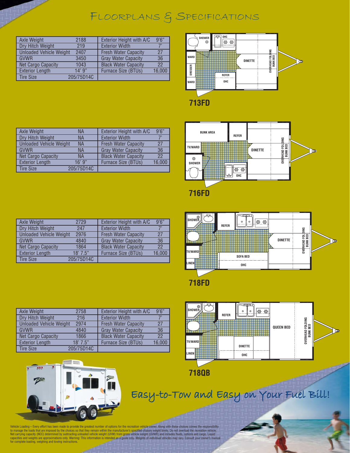## FLOORPLANS & SPECIFICATIONS

| Axle Weight                    | 2188       | Exterior Height with A/C    | 9'6''  |
|--------------------------------|------------|-----------------------------|--------|
| Dry Hitch Weight               | 219        | <b>Exterior Width</b>       |        |
| <b>Unloaded Vehicle Weight</b> | 2407       | <b>Fresh Water Capacity</b> | 27     |
| <b>GVWR</b>                    | 3450       | <b>Gray Water Capacity</b>  | 36     |
| Net Cargo Capacity             | 1043       | <b>Black Water Capacity</b> | 22     |
| <b>Exterior Length</b>         | $14'$ 9"   | <b>Furnace Size (BTUs)</b>  | 16,000 |
| <b>Tire Size</b>               | 205/75D14C |                             |        |



| Axle Weight                    | <b>NA</b>  | Exterior Height with A/C    | 9'6''  |
|--------------------------------|------------|-----------------------------|--------|
| Dry Hitch Weight               | <b>NA</b>  | <b>Exterior Width</b>       |        |
| <b>Unloaded Vehicle Weight</b> | <b>NA</b>  | <b>Fresh Water Capacity</b> | 27     |
| <b>GVWR</b>                    | <b>NA</b>  | <b>Gray Water Capacity</b>  | 36     |
| Net Cargo Capacity             | <b>NA</b>  | <b>Black Water Capacity</b> | 22     |
| <b>Exterior Length</b>         | 16'9''     | Furnace Size (BTUs)         | 16,000 |
| <b>Tire Size</b>               | 205/75D14C |                             |        |



| Axle Weight                    | 2729       | Exterior Height with A/C    | 9'6''  |
|--------------------------------|------------|-----------------------------|--------|
| Dry Hitch Weight               | 247        | <b>Exterior Width</b>       |        |
| <b>Unloaded Vehicle Weight</b> | 2976       | <b>Fresh Water Capacity</b> | 27     |
| <b>GVWR</b>                    | 4840       | <b>Gray Water Capacity</b>  | 36     |
| Net Cargo Capacity             | 1864       | <b>Black Water Capacity</b> | 22     |
| <b>Exterior Length</b>         | $18'$ 7.5" | Furnace Size (BTUs)         | 16,000 |
| <b>Tire Size</b>               | 205/75D14C |                             |        |

| SHOWER<br>---<br><b>TV/WARD</b> | <b>REFER</b> | $\circ$<br>$\circ$<br><b>SOFA BED</b> | <b>DINETTE</b> | FOLDING<br>BED<br>OVERHEAD<br>BUNK | ಄ |
|---------------------------------|--------------|---------------------------------------|----------------|------------------------------------|---|
| <b>LINEN</b>                    |              | OHC                                   |                |                                    |   |
|                                 |              |                                       |                |                                    |   |

**718FD**

| Axle Weight                    | 2758       | Exterior Height with A/C    | 9'6''  |
|--------------------------------|------------|-----------------------------|--------|
| Dry Hitch Weight               | 216        | <b>Exterior Width</b>       | 7'     |
| <b>Unloaded Vehicle Weight</b> | 2974       | <b>Fresh Water Capacity</b> | 27     |
| <b>GVWR</b>                    | 4840       | <b>Gray Water Capacity</b>  | 36     |
| Net Cargo Capacity             | 1866       | <b>Black Water Capacity</b> | 22     |
| <b>Exterior Length</b>         | 18'7.5"    | <b>Furnace Size (BTUs)</b>  | 16,000 |
| <b>Tire Size</b>               | 205/75D14C |                             |        |





Easy-to-Tow and Easy on Your Fuel Bill!

Vehicle Loading – Every effort has been made to provide the greatest number of options for the recreation vehicle owner. Along with these choices comes the responsibility<br>to manage the loads that are imposed by the choices for complete loading, weighing and towing instructions.